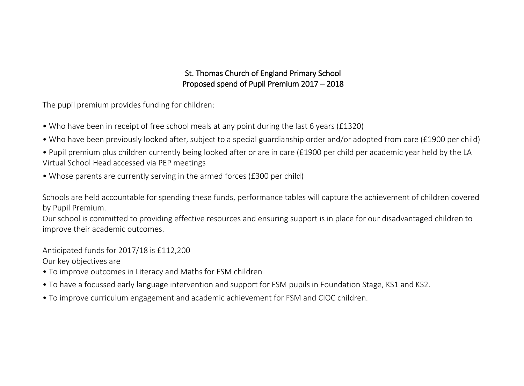# St. Thomas Church of England Primary School Proposed spend of Pupil Premium 2017 – 2018

The pupil premium provides funding for children:

- Who have been in receipt of free school meals at any point during the last 6 years (£1320)
- Who have been previously looked after, subject to a special guardianship order and/or adopted from care (£1900 per child)
- Pupil premium plus children currently being looked after or are in care (£1900 per child per academic year held by the LA Virtual School Head accessed via PEP meetings
- Whose parents are currently serving in the armed forces (£300 per child)

Schools are held accountable for spending these funds, performance tables will capture the achievement of children covered by Pupil Premium.

Our school is committed to providing effective resources and ensuring support is in place for our disadvantaged children to improve their academic outcomes.

Anticipated funds for 2017/18 is £112,200

Our key objectives are

- To improve outcomes in Literacy and Maths for FSM children
- To have a focussed early language intervention and support for FSM pupils in Foundation Stage, KS1 and KS2.
- To improve curriculum engagement and academic achievement for FSM and CIOC children.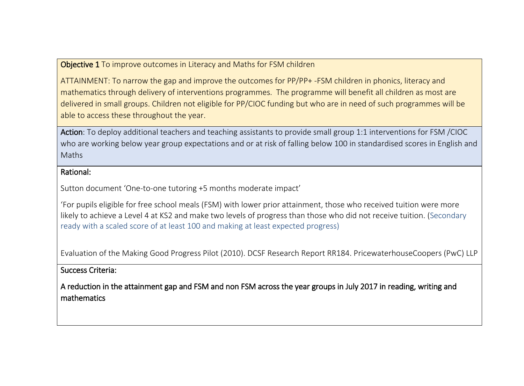Objective 1 To improve outcomes in Literacy and Maths for FSM children

ATTAINMENT: To narrow the gap and improve the outcomes for PP/PP+ -FSM children in phonics, literacy and mathematics through delivery of interventions programmes. The programme will benefit all children as most are delivered in small groups. Children not eligible for PP/CIOC funding but who are in need of such programmes will be able to access these throughout the year.

Action: To deploy additional teachers and teaching assistants to provide small group 1:1 interventions for FSM /CIOC who are working below year group expectations and or at risk of falling below 100 in standardised scores in English and Maths

#### Rational:

Sutton document 'One-to-one tutoring +5 months moderate impact'

'For pupils eligible for free school meals (FSM) with lower prior attainment, those who received tuition were more likely to achieve a Level 4 at KS2 and make two levels of progress than those who did not receive tuition. (Secondary ready with a scaled score of at least 100 and making at least expected progress)

Evaluation of the Making Good Progress Pilot (2010). DCSF Research Report RR184. PricewaterhouseCoopers (PwC) LLP

#### Success Criteria:

A reduction in the attainment gap and FSM and non FSM across the year groups in July 2017 in reading, writing and mathematics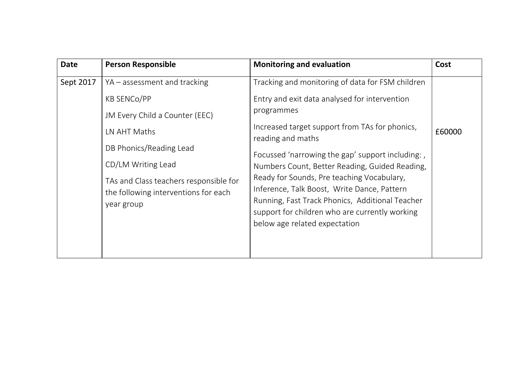| <b>Date</b> | <b>Person Responsible</b>                                                                    | <b>Monitoring and evaluation</b>                                                                                                                                                                                                | Cost   |
|-------------|----------------------------------------------------------------------------------------------|---------------------------------------------------------------------------------------------------------------------------------------------------------------------------------------------------------------------------------|--------|
| Sept 2017   | YA – assessment and tracking                                                                 | Tracking and monitoring of data for FSM children                                                                                                                                                                                |        |
|             | <b>KB SENCO/PP</b>                                                                           | Entry and exit data analysed for intervention                                                                                                                                                                                   |        |
|             | JM Every Child a Counter (EEC)                                                               | programmes                                                                                                                                                                                                                      |        |
|             | LN AHT Maths                                                                                 | Increased target support from TAs for phonics,<br>reading and maths                                                                                                                                                             | £60000 |
|             | DB Phonics/Reading Lead                                                                      | Focussed 'narrowing the gap' support including:                                                                                                                                                                                 |        |
|             | CD/LM Writing Lead                                                                           | Numbers Count, Better Reading, Guided Reading,                                                                                                                                                                                  |        |
|             | TAs and Class teachers responsible for<br>the following interventions for each<br>year group | Ready for Sounds, Pre teaching Vocabulary,<br>Inference, Talk Boost, Write Dance, Pattern<br>Running, Fast Track Phonics, Additional Teacher<br>support for children who are currently working<br>below age related expectation |        |
|             |                                                                                              |                                                                                                                                                                                                                                 |        |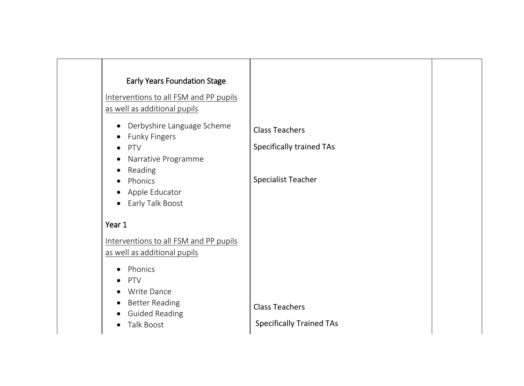| <b>Early Years Foundation Stage</b><br>Interventions to all FSM and PP pupils<br>as well as additional pupils                      |                                                          |  |
|------------------------------------------------------------------------------------------------------------------------------------|----------------------------------------------------------|--|
| Derbyshire Language Scheme<br>$\bullet$<br><b>Funky Fingers</b><br>PTV<br>Narrative Programme<br>$\bullet$<br>Reading<br>$\bullet$ | <b>Class Teachers</b><br><b>Specifically trained TAs</b> |  |
| Phonics<br>Apple Educator<br>Early Talk Boost<br>$\bullet$                                                                         | <b>Specialist Teacher</b>                                |  |
| Year 1<br>Interventions to all FSM and PP pupils<br>as well as additional pupils                                                   |                                                          |  |
| Phonics<br>PTV<br><b>Write Dance</b><br><b>Better Reading</b><br><b>Guided Reading</b><br>Talk Boost                               | <b>Class Teachers</b><br><b>Specifically Trained TAs</b> |  |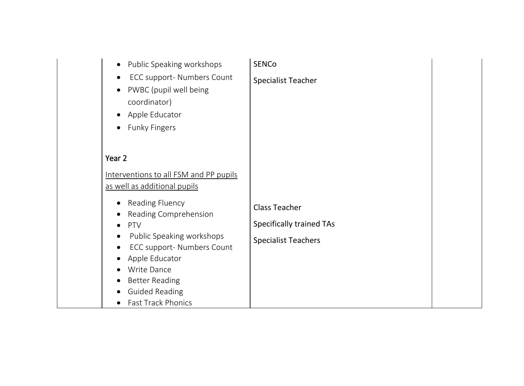| Public Speaking workshops<br>$\bullet$                               | <b>SENCo</b>                    |  |
|----------------------------------------------------------------------|---------------------------------|--|
| ECC support- Numbers Count                                           | <b>Specialist Teacher</b>       |  |
| PWBC (pupil well being<br>coordinator)                               |                                 |  |
|                                                                      |                                 |  |
| Apple Educator                                                       |                                 |  |
| <b>Funky Fingers</b>                                                 |                                 |  |
|                                                                      |                                 |  |
| Year 2                                                               |                                 |  |
| Interventions to all FSM and PP pupils                               |                                 |  |
| as well as additional pupils                                         |                                 |  |
| <b>Reading Fluency</b>                                               | <b>Class Teacher</b>            |  |
| Reading Comprehension                                                |                                 |  |
| PTV                                                                  | <b>Specifically trained TAs</b> |  |
| Public Speaking workshops<br>$\bullet$<br>ECC support- Numbers Count | <b>Specialist Teachers</b>      |  |
| Apple Educator                                                       |                                 |  |
| Write Dance                                                          |                                 |  |
| <b>Better Reading</b>                                                |                                 |  |
| <b>Guided Reading</b>                                                |                                 |  |
| <b>Fast Track Phonics</b>                                            |                                 |  |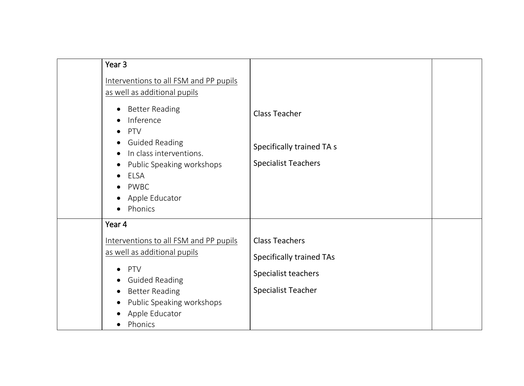| Year 3                                                                                           |                                 |  |
|--------------------------------------------------------------------------------------------------|---------------------------------|--|
| Interventions to all FSM and PP pupils<br>as well as additional pupils                           |                                 |  |
| <b>Better Reading</b><br>$\bullet$<br>Inference<br>PTV<br>$\bullet$                              | <b>Class Teacher</b>            |  |
| <b>Guided Reading</b><br>$\bullet$<br>In class interventions.                                    | Specifically trained TA s       |  |
| Public Speaking workshops<br>$\bullet$<br>ELSA<br>PWBC<br>Apple Educator<br>Phonics<br>$\bullet$ | <b>Specialist Teachers</b>      |  |
| Year 4                                                                                           |                                 |  |
| Interventions to all FSM and PP pupils                                                           | <b>Class Teachers</b>           |  |
| as well as additional pupils                                                                     | <b>Specifically trained TAs</b> |  |
| PTV<br><b>Guided Reading</b>                                                                     | Specialist teachers             |  |
| <b>Better Reading</b>                                                                            | <b>Specialist Teacher</b>       |  |
| Public Speaking workshops<br>Apple Educator<br>Phonics                                           |                                 |  |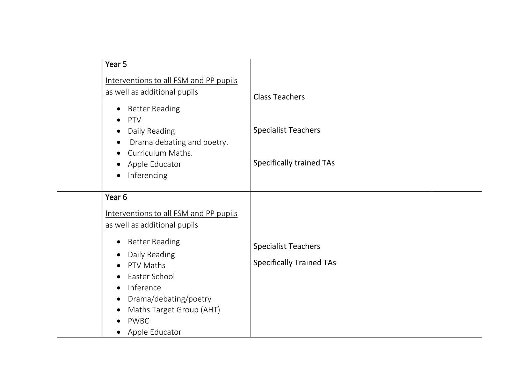| Year 5                                                                                                                                                                                                                                                                                                                                  |                                                               |  |
|-----------------------------------------------------------------------------------------------------------------------------------------------------------------------------------------------------------------------------------------------------------------------------------------------------------------------------------------|---------------------------------------------------------------|--|
| Interventions to all FSM and PP pupils<br>as well as additional pupils<br><b>Better Reading</b><br>$\bullet$                                                                                                                                                                                                                            | <b>Class Teachers</b>                                         |  |
| PTV<br>Daily Reading<br>Drama debating and poetry.<br>Curriculum Maths.                                                                                                                                                                                                                                                                 | <b>Specialist Teachers</b>                                    |  |
| Apple Educator<br>Inferencing<br>$\bullet$                                                                                                                                                                                                                                                                                              | <b>Specifically trained TAs</b>                               |  |
| Year <sub>6</sub><br>Interventions to all FSM and PP pupils<br>as well as additional pupils<br><b>Better Reading</b><br>Daily Reading<br>$\bullet$<br>PTV Maths<br>$\bullet$<br>Easter School<br>$\bullet$<br>Inference<br>$\bullet$<br>Drama/debating/poetry<br>$\bullet$<br>Maths Target Group (AHT)<br><b>PWBC</b><br>Apple Educator | <b>Specialist Teachers</b><br><b>Specifically Trained TAs</b> |  |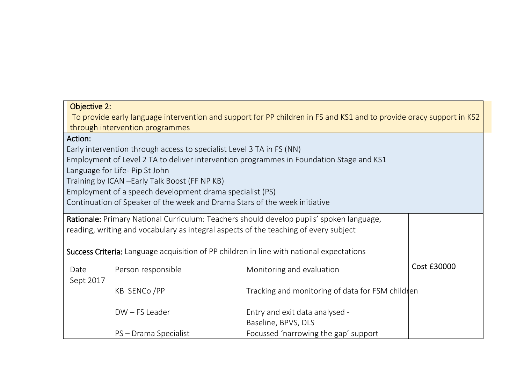| <b>Objective 2:</b>                                                                  |                                                                                                                      |                                                                                          |             |
|--------------------------------------------------------------------------------------|----------------------------------------------------------------------------------------------------------------------|------------------------------------------------------------------------------------------|-------------|
|                                                                                      | To provide early language intervention and support for PP children in FS and KS1 and to provide oracy support in KS2 |                                                                                          |             |
|                                                                                      | through intervention programmes                                                                                      |                                                                                          |             |
| Action:                                                                              |                                                                                                                      |                                                                                          |             |
|                                                                                      | Early intervention through access to specialist Level 3 TA in FS (NN)                                                |                                                                                          |             |
|                                                                                      |                                                                                                                      | Employment of Level 2 TA to deliver intervention programmes in Foundation Stage and KS1  |             |
|                                                                                      | Language for Life- Pip St John                                                                                       |                                                                                          |             |
|                                                                                      | Training by ICAN - Early Talk Boost (FF NP KB)                                                                       |                                                                                          |             |
|                                                                                      | Employment of a speech development drama specialist (PS)                                                             |                                                                                          |             |
|                                                                                      |                                                                                                                      | Continuation of Speaker of the week and Drama Stars of the week initiative               |             |
|                                                                                      |                                                                                                                      | Rationale: Primary National Curriculum: Teachers should develop pupils' spoken language, |             |
| reading, writing and vocabulary as integral aspects of the teaching of every subject |                                                                                                                      |                                                                                          |             |
|                                                                                      |                                                                                                                      |                                                                                          |             |
|                                                                                      |                                                                                                                      | Success Criteria: Language acquisition of PP children in line with national expectations |             |
| Date                                                                                 | Person responsible                                                                                                   | Monitoring and evaluation                                                                | Cost £30000 |
| Sept 2017                                                                            |                                                                                                                      |                                                                                          |             |
|                                                                                      | Tracking and monitoring of data for FSM children                                                                     |                                                                                          |             |
|                                                                                      | DW-FS Leader                                                                                                         | Entry and exit data analysed -                                                           |             |
|                                                                                      |                                                                                                                      |                                                                                          |             |
|                                                                                      |                                                                                                                      | Baseline, BPVS, DLS                                                                      |             |
|                                                                                      | PS - Drama Specialist                                                                                                | Focussed 'narrowing the gap' support                                                     |             |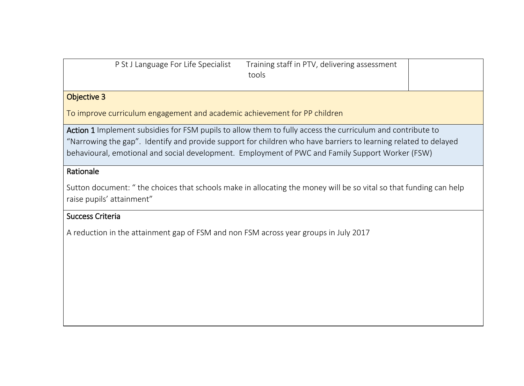| P St J Language For Life Specialist | Training staff in PTV, delivering assessment<br>tools |  |
|-------------------------------------|-------------------------------------------------------|--|
|                                     |                                                       |  |

## Objective 3

To improve curriculum engagement and academic achievement for PP children

Action 1 Implement subsidies for FSM pupils to allow them to fully access the curriculum and contribute to "Narrowing the gap". Identify and provide support for children who have barriers to learning related to delayed behavioural, emotional and social development. Employment of PWC and Family Support Worker (FSW)

## Rationale

Sutton document: " the choices that schools make in allocating the money will be so vital so that funding can help raise pupils' attainment"

# Success Criteria

A reduction in the attainment gap of FSM and non FSM across year groups in July 2017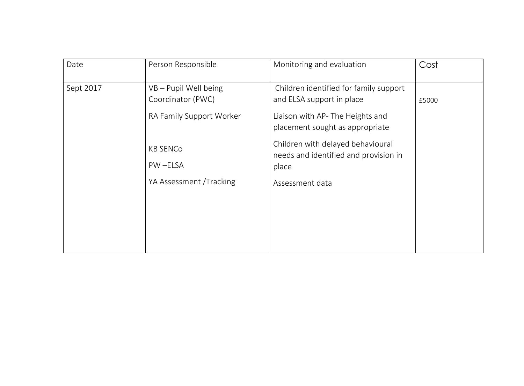| Date      | Person Responsible                                                     | Monitoring and evaluation                                                                                                                  | Cost  |
|-----------|------------------------------------------------------------------------|--------------------------------------------------------------------------------------------------------------------------------------------|-------|
| Sept 2017 | VB - Pupil Well being<br>Coordinator (PWC)<br>RA Family Support Worker | Children identified for family support<br>and ELSA support in place<br>Liaison with AP- The Heights and<br>placement sought as appropriate | £5000 |
|           | <b>KB SENCO</b><br>PW-ELSA                                             | Children with delayed behavioural<br>needs and identified and provision in<br>place                                                        |       |
|           | YA Assessment /Tracking                                                | Assessment data                                                                                                                            |       |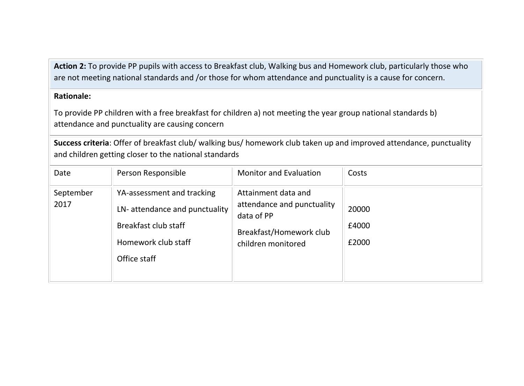**Action 2:** To provide PP pupils with access to Breakfast club, Walking bus and Homework club, particularly those who are not meeting national standards and /or those for whom attendance and punctuality is a cause for concern.

### **Rationale:**

To provide PP children with a free breakfast for children a) not meeting the year group national standards b) attendance and punctuality are causing concern

**Success criteria**: Offer of breakfast club/ walking bus/ homework club taken up and improved attendance, punctuality and children getting closer to the national standards

| Date              | Person Responsible                                                                                                         | <b>Monitor and Evaluation</b>                                                                                    | Costs                   |
|-------------------|----------------------------------------------------------------------------------------------------------------------------|------------------------------------------------------------------------------------------------------------------|-------------------------|
| September<br>2017 | YA-assessment and tracking<br>LN-attendance and punctuality<br>Breakfast club staff<br>Homework club staff<br>Office staff | Attainment data and<br>attendance and punctuality<br>data of PP<br>Breakfast/Homework club<br>children monitored | 20000<br>£4000<br>£2000 |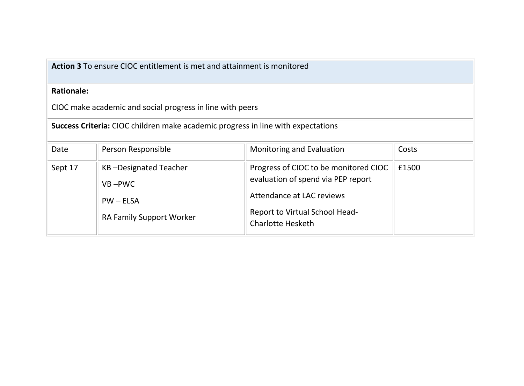**Action 3** To ensure CIOC entitlement is met and attainment is monitored

### **Rationale:**

CIOC make academic and social progress in line with peers

**Success Criteria:** CIOC children make academic progress in line with expectations

| Date    | Person Responsible                                                                    | Monitoring and Evaluation                                                                                                                                              | Costs |
|---------|---------------------------------------------------------------------------------------|------------------------------------------------------------------------------------------------------------------------------------------------------------------------|-------|
| Sept 17 | KB-Designated Teacher<br>$VB - PWC$<br>$PW - ELSA$<br><b>RA Family Support Worker</b> | Progress of CIOC to be monitored CIOC<br>evaluation of spend via PEP report<br>Attendance at LAC reviews<br>Report to Virtual School Head-<br><b>Charlotte Hesketh</b> | £1500 |
|         |                                                                                       |                                                                                                                                                                        |       |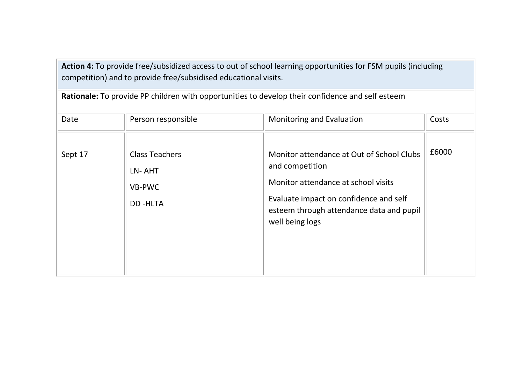**Action 4:** To provide free/subsidized access to out of school learning opportunities for FSM pupils (including competition) and to provide free/subsidised educational visits.

| Date    | Person responsible                                          | Monitoring and Evaluation                                                                                                                                                                                    | Costs |
|---------|-------------------------------------------------------------|--------------------------------------------------------------------------------------------------------------------------------------------------------------------------------------------------------------|-------|
| Sept 17 | <b>Class Teachers</b><br>LN-AHT<br>VB-PWC<br><b>DD-HLTA</b> | Monitor attendance at Out of School Clubs<br>and competition<br>Monitor attendance at school visits<br>Evaluate impact on confidence and self<br>esteem through attendance data and pupil<br>well being logs | £6000 |

**Rationale:** To provide PP children with opportunities to develop their confidence and self esteem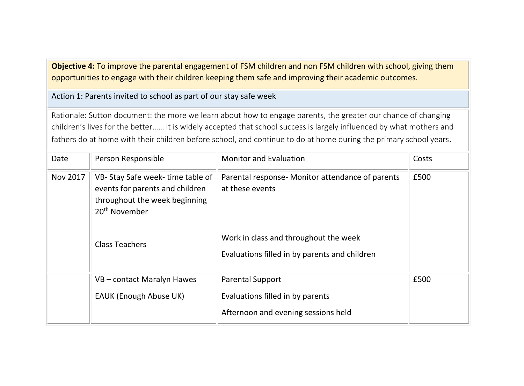**Objective 4:** To improve the parental engagement of FSM children and non FSM children with school, giving them opportunities to engage with their children keeping them safe and improving their academic outcomes.

Action 1: Parents invited to school as part of our stay safe week

Rationale: Sutton document: the more we learn about how to engage parents, the greater our chance of changing children's lives for the better…… it is widely accepted that school success is largely influenced by what mothers and fathers do at home with their children before school, and continue to do at home during the primary school years.

| Date     | Person Responsible                                                                                                                                        | <b>Monitor and Evaluation</b>                                                                                                                                 | Costs |
|----------|-----------------------------------------------------------------------------------------------------------------------------------------------------------|---------------------------------------------------------------------------------------------------------------------------------------------------------------|-------|
| Nov 2017 | VB-Stay Safe week-time table of<br>events for parents and children<br>throughout the week beginning<br>20 <sup>th</sup> November<br><b>Class Teachers</b> | Parental response- Monitor attendance of parents<br>at these events<br>Work in class and throughout the week<br>Evaluations filled in by parents and children | £500  |
|          | VB – contact Maralyn Hawes<br><b>EAUK (Enough Abuse UK)</b>                                                                                               | <b>Parental Support</b><br>Evaluations filled in by parents<br>Afternoon and evening sessions held                                                            | £500  |